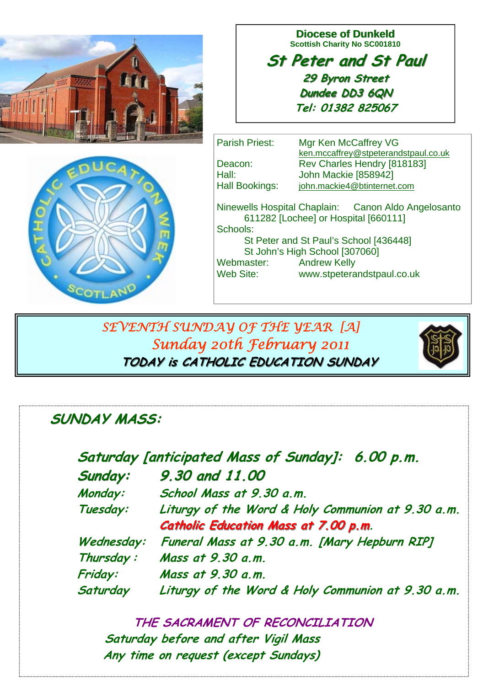

**Diocese of Dunkeld Scottish Charity No SC001810** 

**St Peter and St Paul St Peter and St Paul 29 Byron Street 29 Byron Street Dundee DD3 6QN Tel: 01382 825067**

 $s<sub>COTL</sub>$ 

Parish Priest: Mgr Ken McCaffrey VG ken.mccaffrey@stpeterandstpaul.co.uk Deacon: Rev Charles Hendry [818183] Hall: **John Mackie [858942]** Hall Bookings: john.mackie4@btinternet.com Ninewells Hospital Chaplain: Canon Aldo Angelosanto 611282 [Lochee] or Hospital [660111] Schools: St Peter and St Paul's School [436448] St John's High School [307060] Webmaster: Andrew Kelly Web Site: www.stpeterandstpaul.co.uk

 *SEVENTH SUNDAY OF THE YEAR [A] Sunday 20th February 2011* **TODAY is CATHOLIC EDUCATION SUNDAY TODAY is CATHOLIC EDUCATION SUNDAY**



**Saturday [anticipated Mass of Sunday]: 6.00 p.m. Sunday: Sunday: 9.30 and 11.00 Monday: School Mass at 9.30 a.m. Tuesday: Liturgy of the Word & Holy Communion at 9.30 a.m. Catholic Education Mass at 7.00 p.m. Wednesday: Funeral Mass at 9.30 a.m. [Mary Hepburn RIP] Thursday : Mass at 9.30 a.m. Friday: Mass at 9.30 a.m. Saturday Liturgy of the Word & Holy Communion at 9.30 a.m.** 

 **THE SACRAMENT OF RECONCILIATION Saturday before and after Vigil Mass Any time on request (except Sundays)**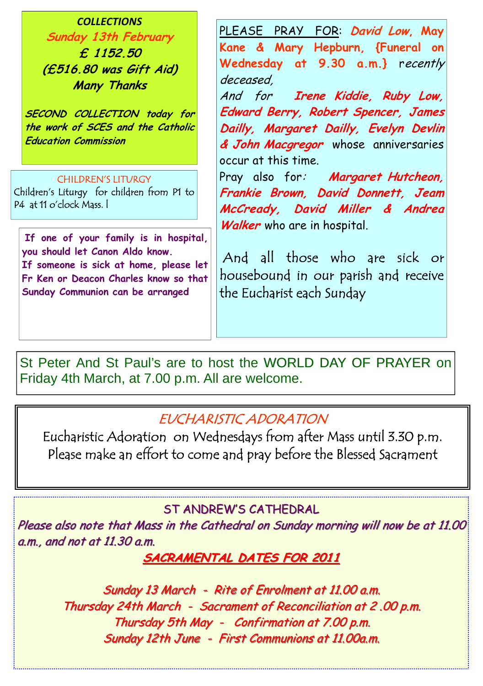*COLLECTIONS* **Sunday 13th February £ 1152.50 (£516.80 was Gift Aid) Many Thanks** 

**SECOND COLLECTION today for the work of SCES and the Catholic Education Commission** 

#### CHILDREN'S LITURGY

Children's Liturgy for children from P1 to P4 at 11 o'clock Mass. l

**If one of your family is in hospital, you should let Canon Aldo know. If someone is sick at home, please let Fr Ken or Deacon Charles know so that Sunday Communion can be arranged**

PLEASE PRAY FOR: **David Low, May Kane & Mary Hepburn, {Funeral on Wednesday at 9.30 a.m.}** recently deceased,

And for **Irene Kiddie, Ruby Low, Edward Berry, Robert Spencer, James Dailly, Margaret Dailly, Evelyn Devlin & John Macgregor** whose anniversaries occur at this time.

Pray also for: **Margaret Hutcheon, Frankie Brown, David Donnett, Jeam McCready, David Miller & Andrea Walker** who are in hospital.

 And all those who are sick or housebound in our parish and receive the Eucharist each Sunday

St Peter And St Paul's are to host the WORLD DAY OF PRAYER on Friday 4th March, at 7.00 p.m. All are welcome.

# EUCHARISTIC ADORATION

Eucharistic Adoration on Wednesdays from after Mass until 3.30 p.m. Please make an effort to come and pray before the Blessed Sacrament

## ST ANDREW'S CATHEDRAL

Please also note that Mass in the Cathedral on Sunday morning will now be at 11.00 a.m., and not at  $11.30$  a.m.

# **SACRAMENTAL DATES FOR 2011 SACRAMENTAL DATES FOR 2011**

Sunday 13 March - Rite of Enrolment at 11.00 a.m. Thursday 24th March - Sacrament of Reconciliation at 2.00 p.m. Thursday 5th May - Confirmation at  $7.00$  p.m. Sunday 12th June - First Communions at 11.00a.m.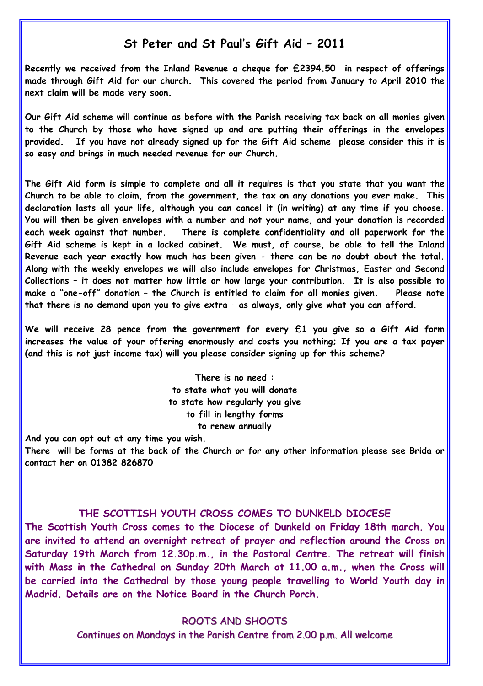## **St Peter and St Paul's Gift Aid – 2011**

**Recently we received from the Inland Revenue a cheque for £2394.50 in respect of offerings made through Gift Aid for our church. This covered the period from January to April 2010 the next claim will be made very soon.** 

**Our Gift Aid scheme will continue as before with the Parish receiving tax back on all monies given to the Church by those who have signed up and are putting their offerings in the envelopes provided. If you have not already signed up for the Gift Aid scheme please consider this it is so easy and brings in much needed revenue for our Church.** 

**The Gift Aid form is simple to complete and all it requires is that you state that you want the Church to be able to claim, from the government, the tax on any donations you ever make. This declaration lasts all your life, although you can cancel it (in writing) at any time if you choose. You will then be given envelopes with a number and not your name, and your donation is recorded each week against that number. There is complete confidentiality and all paperwork for the Gift Aid scheme is kept in a locked cabinet. We must, of course, be able to tell the Inland Revenue each year exactly how much has been given - there can be no doubt about the total. Along with the weekly envelopes we will also include envelopes for Christmas, Easter and Second Collections – it does not matter how little or how large your contribution. It is also possible to make a "one-off" donation – the Church is entitled to claim for all monies given. Please note that there is no demand upon you to give extra – as always, only give what you can afford.** 

**We will receive 28 pence from the government for every £1 you give so a Gift Aid form increases the value of your offering enormously and costs you nothing; If you are a tax payer (and this is not just income tax) will you please consider signing up for this scheme?** 

> **There is no need : to state what you will donate to state how regularly you give to fill in lengthy forms to renew annually**

**And you can opt out at any time you wish.** 

**There will be forms at the back of the Church or for any other information please see Brida or contact her on 01382 826870** 

#### **THE SCOTTISH YOUTH CROSS COMES TO DUNKELD DIOCESE**

**The Scottish Youth Cross comes to the Diocese of Dunkeld on Friday 18th march. You are invited to attend an overnight retreat of prayer and reflection around the Cross on Saturday 19th March from 12.30p.m., in the Pastoral Centre. The retreat will finish with Mass in the Cathedral on Sunday 20th March at 11.00 a.m., when the Cross will be carried into the Cathedral by those young people travelling to World Youth day in Madrid. Details are on the Notice Board in the Church Porch.** 

ROOTS AND SHOOTS

Continues on Mondays in the Parish Centre from 2.00 p.m. All welcome